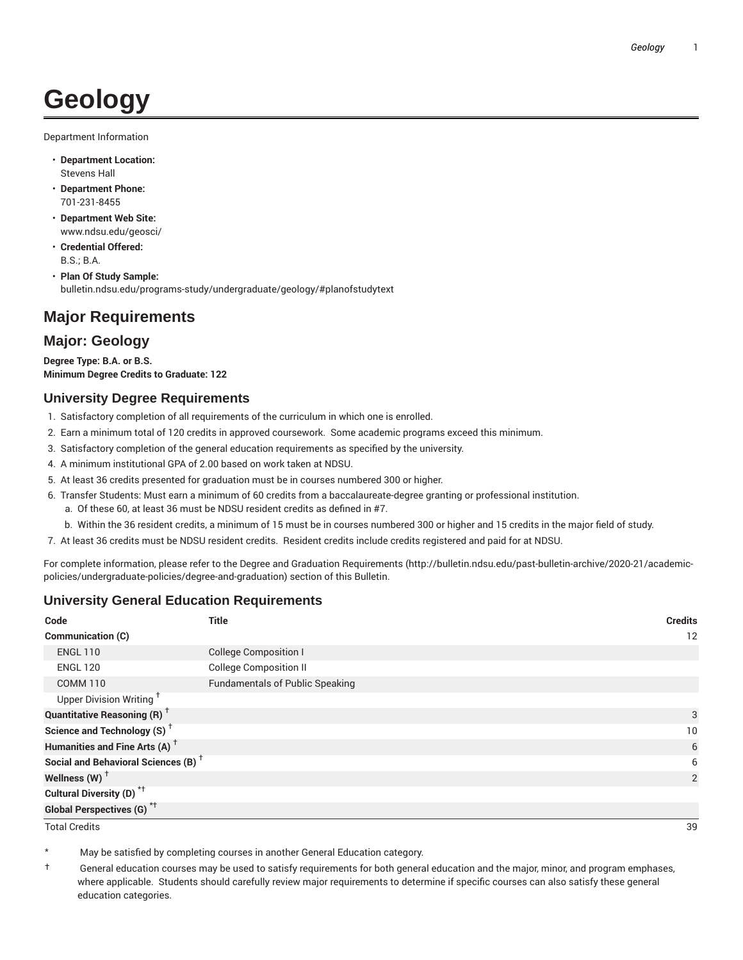# **Geology**

Department Information

- **Department Location:** Stevens Hall
- **Department Phone:** 701-231-8455
- **Department Web Site:** www.ndsu.edu/geosci/
- **Credential Offered:** B.S.; B.A.
- **Plan Of Study Sample:** bulletin.ndsu.edu/programs-study/undergraduate/geology/#planofstudytext

## **Major Requirements**

### **Major: Geology**

**Degree Type: B.A. or B.S. Minimum Degree Credits to Graduate: 122**

#### **University Degree Requirements**

- 1. Satisfactory completion of all requirements of the curriculum in which one is enrolled.
- 2. Earn a minimum total of 120 credits in approved coursework. Some academic programs exceed this minimum.
- 3. Satisfactory completion of the general education requirements as specified by the university.
- 4. A minimum institutional GPA of 2.00 based on work taken at NDSU.
- 5. At least 36 credits presented for graduation must be in courses numbered 300 or higher.
- 6. Transfer Students: Must earn a minimum of 60 credits from a baccalaureate-degree granting or professional institution.
	- a. Of these 60, at least 36 must be NDSU resident credits as defined in #7.
	- b. Within the 36 resident credits, a minimum of 15 must be in courses numbered 300 or higher and 15 credits in the major field of study.
- 7. At least 36 credits must be NDSU resident credits. Resident credits include credits registered and paid for at NDSU.

For complete information, please refer to the Degree and Graduation Requirements (http://bulletin.ndsu.edu/past-bulletin-archive/2020-21/academicpolicies/undergraduate-policies/degree-and-graduation) section of this Bulletin.

#### **University General Education Requirements**

| Code                                            | <b>Title</b>                           | <b>Credits</b> |
|-------------------------------------------------|----------------------------------------|----------------|
| Communication (C)                               |                                        | 12             |
| <b>ENGL 110</b>                                 | <b>College Composition I</b>           |                |
| <b>ENGL 120</b>                                 | <b>College Composition II</b>          |                |
| <b>COMM 110</b>                                 | <b>Fundamentals of Public Speaking</b> |                |
| Upper Division Writing <sup>+</sup>             |                                        |                |
| <b>Quantitative Reasoning (R)</b> <sup>†</sup>  |                                        | 3              |
| Science and Technology (S) <sup>+</sup>         |                                        | 10             |
| Humanities and Fine Arts (A) <sup>+</sup>       |                                        | 6              |
| Social and Behavioral Sciences (B) <sup>+</sup> |                                        | 6              |
| Wellness $(W)$ <sup>+</sup>                     |                                        | 2              |
| Cultural Diversity (D) <sup>*†</sup>            |                                        |                |
| <b>Global Perspectives (G)<sup>*†</sup></b>     |                                        |                |

Total Credits 39

May be satisfied by completing courses in another General Education category.

† General education courses may be used to satisfy requirements for both general education and the major, minor, and program emphases, where applicable. Students should carefully review major requirements to determine if specific courses can also satisfy these general education categories.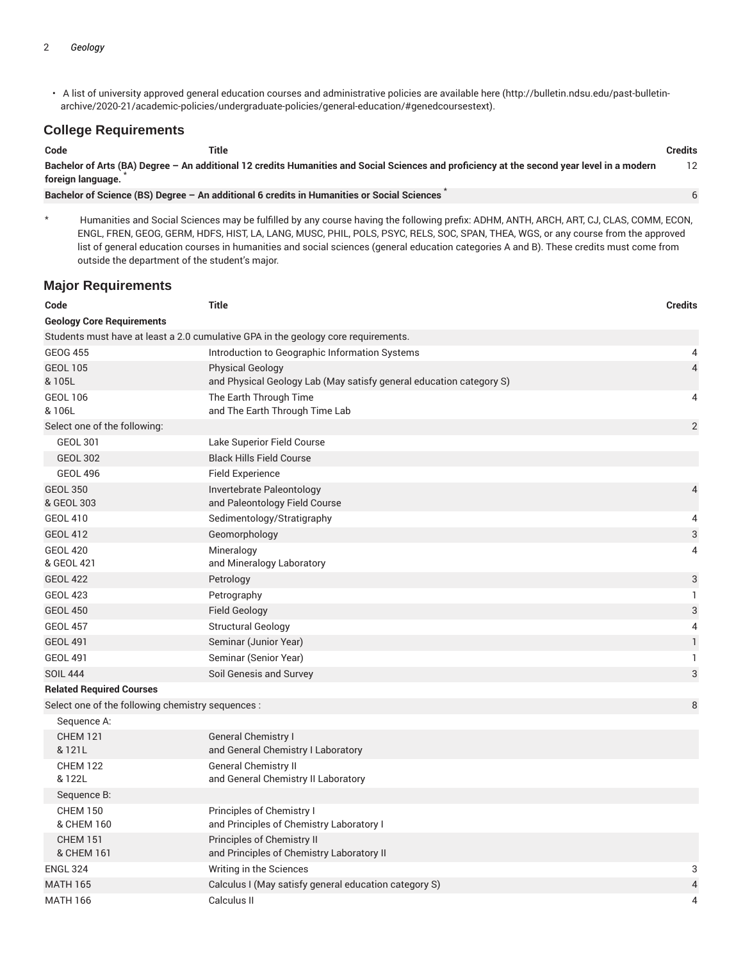• A list of university approved general education courses and administrative policies are available here (http://bulletin.ndsu.edu/past-bulletinarchive/2020-21/academic-policies/undergraduate-policies/general-education/#genedcoursestext).

#### **College Requirements**

| Code                                                                                                                                                             | Title                                                                                      | <b>Credits</b> |
|------------------------------------------------------------------------------------------------------------------------------------------------------------------|--------------------------------------------------------------------------------------------|----------------|
| Bachelor of Arts (BA) Degree - An additional 12 credits Humanities and Social Sciences and proficiency at the second year level in a modern<br>foreign language. |                                                                                            |                |
|                                                                                                                                                                  | Bachelor of Science (BS) Degree - An additional 6 credits in Humanities or Social Sciences |                |

Humanities and Social Sciences may be fulfilled by any course having the following prefix: ADHM, ANTH, ARCH, ART, CJ, CLAS, COMM, ECON, ENGL, FREN, GEOG, GERM, HDFS, HIST, LA, LANG, MUSC, PHIL, POLS, PSYC, RELS, SOC, SPAN, THEA, WGS, or any course from the approved list of general education courses in humanities and social sciences (general education categories A and B). These credits must come from outside the department of the student's major.

#### **Major Requirements**

| Code                                              | <b>Title</b>                                                                                   | <b>Credits</b> |
|---------------------------------------------------|------------------------------------------------------------------------------------------------|----------------|
| <b>Geology Core Requirements</b>                  |                                                                                                |                |
|                                                   | Students must have at least a 2.0 cumulative GPA in the geology core requirements.             |                |
| <b>GEOG 455</b>                                   | Introduction to Geographic Information Systems                                                 | 4              |
| <b>GEOL 105</b><br>& 105L                         | <b>Physical Geology</b><br>and Physical Geology Lab (May satisfy general education category S) | 4              |
| <b>GEOL 106</b><br>& 106L                         | The Earth Through Time<br>and The Earth Through Time Lab                                       | 4              |
| Select one of the following:                      |                                                                                                | $\overline{2}$ |
| <b>GEOL 301</b>                                   | Lake Superior Field Course                                                                     |                |
| <b>GEOL 302</b>                                   | <b>Black Hills Field Course</b>                                                                |                |
| <b>GEOL 496</b>                                   | <b>Field Experience</b>                                                                        |                |
| <b>GEOL 350</b><br>& GEOL 303                     | Invertebrate Paleontology<br>and Paleontology Field Course                                     | 4              |
| <b>GEOL 410</b>                                   | Sedimentology/Stratigraphy                                                                     | 4              |
| <b>GEOL 412</b>                                   | Geomorphology                                                                                  | 3              |
| <b>GEOL 420</b><br>& GEOL 421                     | Mineralogy<br>and Mineralogy Laboratory                                                        | 4              |
| <b>GEOL 422</b>                                   | Petrology                                                                                      | 3              |
| <b>GEOL 423</b>                                   | Petrography                                                                                    | $\mathbf{1}$   |
| <b>GEOL 450</b>                                   | <b>Field Geology</b>                                                                           | 3              |
| <b>GEOL 457</b>                                   | <b>Structural Geology</b>                                                                      | 4              |
| <b>GEOL 491</b>                                   | Seminar (Junior Year)                                                                          | $\mathbf{1}$   |
| <b>GEOL 491</b>                                   | Seminar (Senior Year)                                                                          | 1              |
| <b>SOIL 444</b>                                   | Soil Genesis and Survey                                                                        | 3              |
| <b>Related Required Courses</b>                   |                                                                                                |                |
| Select one of the following chemistry sequences : |                                                                                                | 8              |
| Sequence A:                                       |                                                                                                |                |
| <b>CHEM 121</b><br>& 121L                         | <b>General Chemistry I</b><br>and General Chemistry I Laboratory                               |                |
| <b>CHEM 122</b><br>& 122L                         | <b>General Chemistry II</b><br>and General Chemistry II Laboratory                             |                |
| Sequence B:                                       |                                                                                                |                |
| <b>CHEM 150</b><br>& CHEM 160                     | Principles of Chemistry I<br>and Principles of Chemistry Laboratory I                          |                |
| <b>CHEM 151</b><br>& CHEM 161                     | Principles of Chemistry II<br>and Principles of Chemistry Laboratory II                        |                |
| <b>ENGL 324</b>                                   | Writing in the Sciences                                                                        | 3              |
| <b>MATH 165</b>                                   | Calculus I (May satisfy general education category S)                                          | 4              |
| <b>MATH 166</b>                                   | Calculus II                                                                                    | 4              |